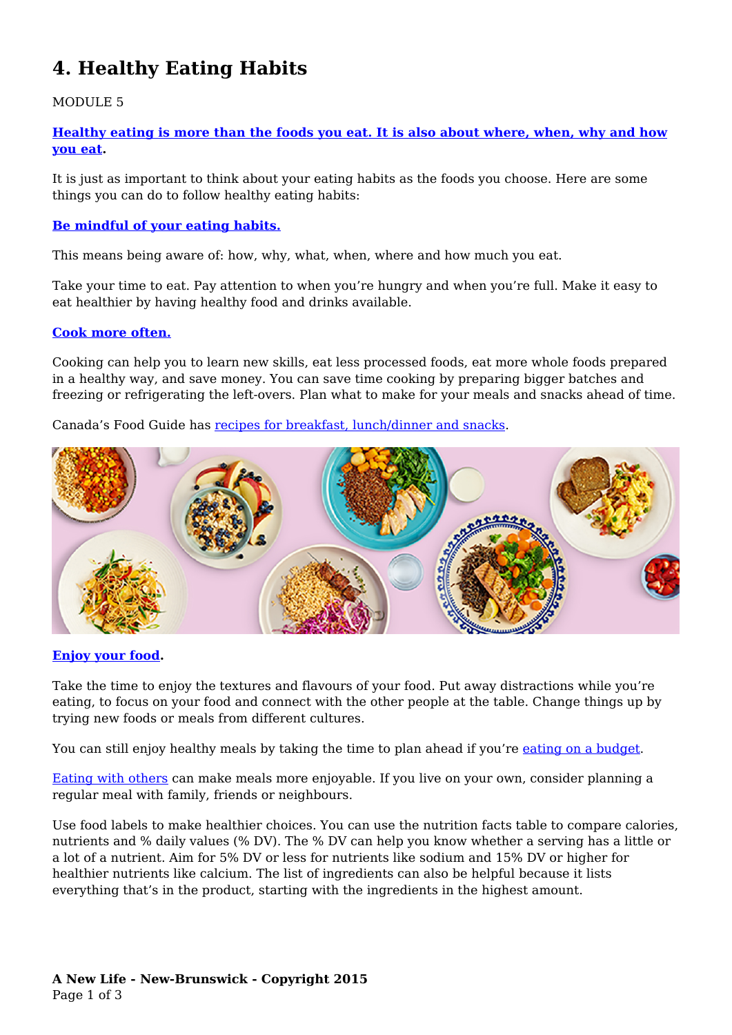# **4. Healthy Eating Habits**

## MODULE 5

**[Healthy eating is more than the foods you eat. It is also about where, when, why and how](https://food-guide.canada.ca/en/healthy-eating-habits/) [you eat](https://food-guide.canada.ca/en/healthy-eating-habits/).**

It is just as important to think about your eating habits as the foods you choose. Here are some things you can do to follow healthy eating habits:

### **[Be mindful of your eating habits.](https://food-guide.canada.ca/en/healthy-eating-recommendations/be-mindful-of-your-eating-habits/)**

This means being aware of: how, why, what, when, where and how much you eat.

Take your time to eat. Pay attention to when you're hungry and when you're full. Make it easy to eat healthier by having healthy food and drinks available.

#### **[Cook more often.](https://food-guide.canada.ca/en/healthy-eating-recommendations/cook-more-often/)**

Cooking can help you to learn new skills, eat less processed foods, eat more whole foods prepared in a healthy way, and save money. You can save time cooking by preparing bigger batches and freezing or refrigerating the left-overs. Plan what to make for your meals and snacks ahead of time.

Canada's Food Guide has [recipes for breakfast, lunch/dinner and snacks](https://www.canada.ca/en/health-canada/services/canada-food-guide/tips-healthy-eating/meal-planning-cooking-healthy-choices/recipes.html).



#### **[Enjoy your food](https://food-guide.canada.ca/en/healthy-eating-recommendations/enjoy-your-food/).**

Take the time to enjoy the textures and flavours of your food. Put away distractions while you're eating, to focus on your food and connect with the other people at the table. Change things up by trying new foods or meals from different cultures.

You can still enjoy healthy meals by taking the time to plan ahead if you're [eating on a budget.](https://food-guide.canada.ca/en/tips-for-healthy-eating/healthy-eating-on-a-budget/)

[Eating with others](https://food-guide.canada.ca/en/healthy-eating-recommendations/eat-meals-with-others/) can make meals more enjoyable. If you live on your own, consider planning a regular meal with family, friends or neighbours.

Use food labels to make healthier choices. You can use the nutrition facts table to compare calories, nutrients and % daily values (% DV). The % DV can help you know whether a serving has a little or a lot of a nutrient. Aim for 5% DV or less for nutrients like sodium and 15% DV or higher for healthier nutrients like calcium. The list of ingredients can also be helpful because it lists everything that's in the product, starting with the ingredients in the highest amount.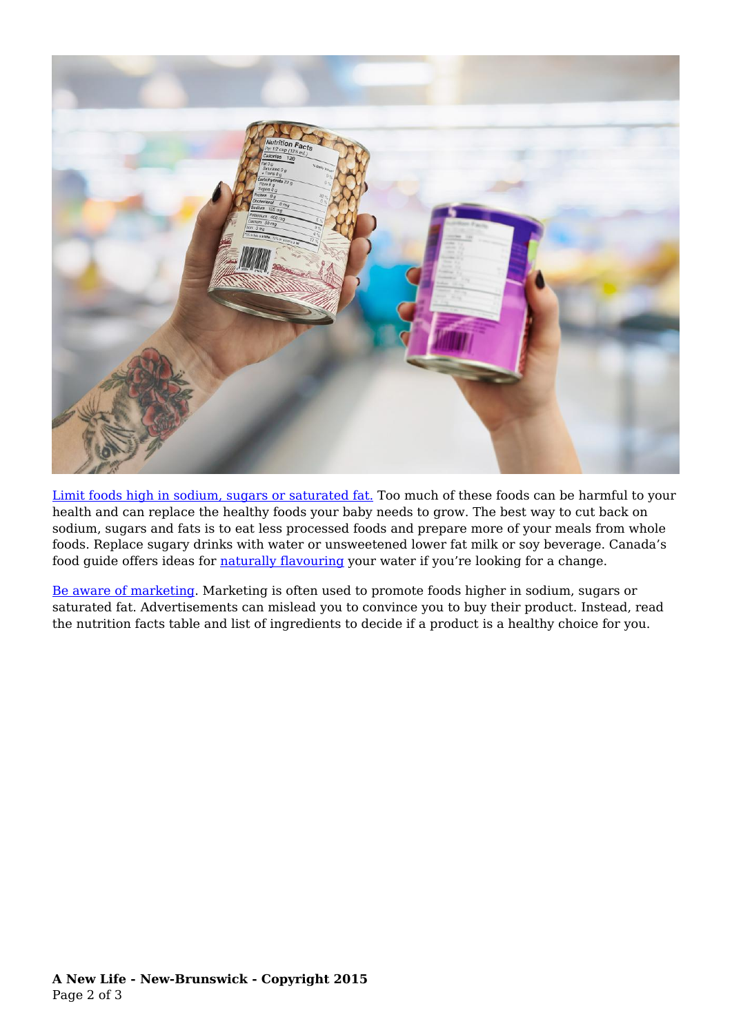

[Limit foods high in sodium, sugars or saturated fat.](https://food-guide.canada.ca/en/healthy-eating-recommendations/limit-highly-processed-foods/) Too much of these foods can be harmful to your health and can replace the healthy foods your baby needs to grow. The best way to cut back on sodium, sugars and fats is to eat less processed foods and prepare more of your meals from whole foods. Replace sugary drinks with water or unsweetened lower fat milk or soy beverage. Canada's food guide offers ideas for [naturally flavouring](https://food-guide.canada.ca/en/healthy-eating-recommendations/make-water-your-drink-of-choice/) your water if you're looking for a change.

[Be aware of marketing](https://food-guide.canada.ca/en/healthy-eating-recommendations/marketing-can-influence-your-food-choices/). Marketing is often used to promote foods higher in sodium, sugars or saturated fat. Advertisements can mislead you to convince you to buy their product. Instead, read the nutrition facts table and list of ingredients to decide if a product is a healthy choice for you.